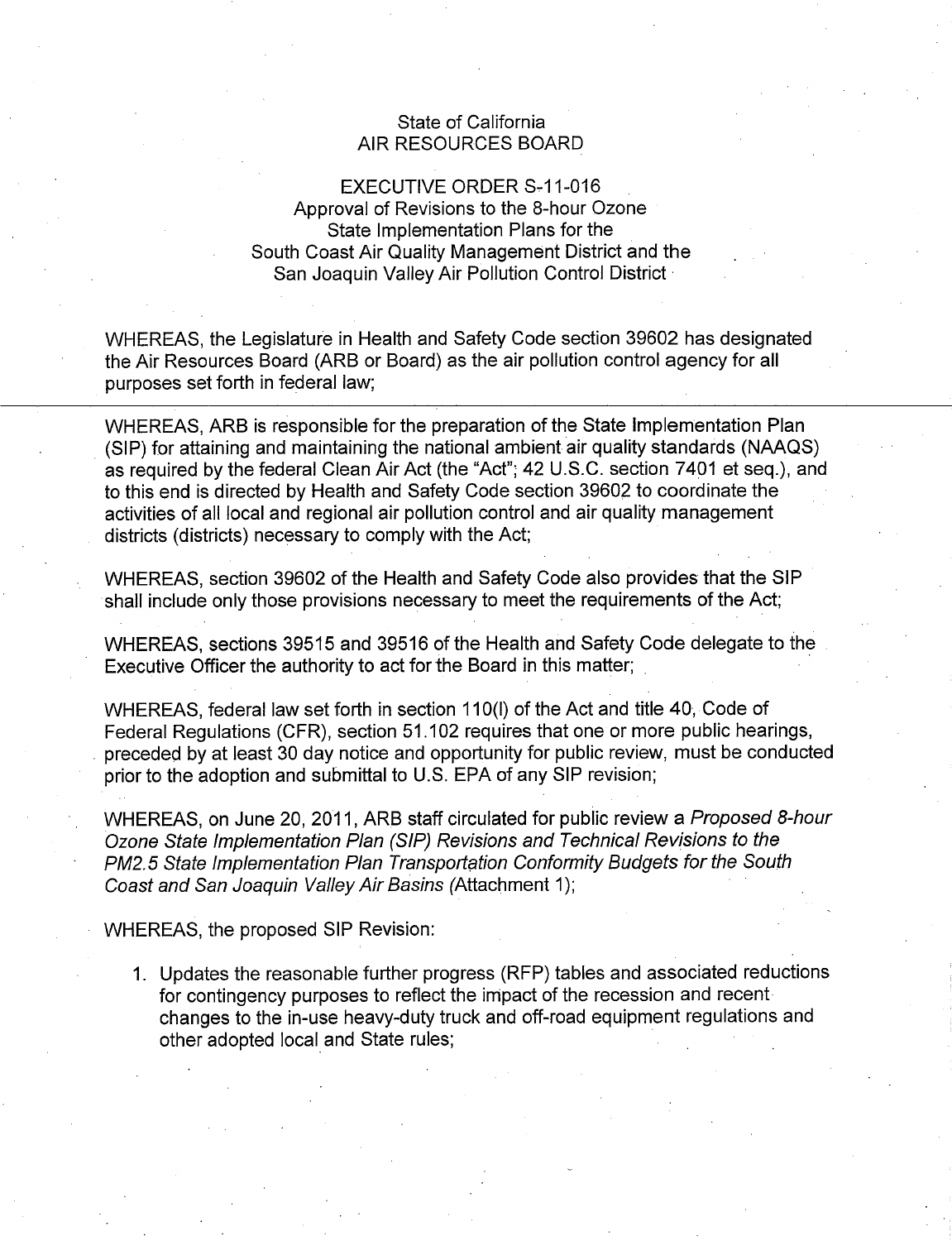## State of California State of California AIR RESOURCES BOARD AIR RESOURCES BOARD

## EXECUTIVE ORDER S-11-016 Approval of Revisions to the 8-hour Ozone Approval of Revisions to the 8-hour Ozone State Implementation Plans for the State Implementation Plans for the South Coast Air Quality Management District and the South Coast Air Quality Management District and the San Joaquin Valley Air Pollution Control District · San Joaquin Valley Air Pollution Control District

WHEREAS, the Legislature in Health and Safety Code section 39602 has designated WHEREAS, the Legislature in Health and Safety Code section 39602 has designated the Air Resources Board (ARB or Board) as the air pollution control agency for all the Air Resources Board (ARB or Board) as the air pollution control agency for all purposes set forth in federal law; purposes set forth in federal law;

WHEREAS, ARB is responsible for the preparation of the State Implementation Plan WHEREAS, ARB is responsible for the preparation of the State Implementation Plan (SIP) for attaining and maintaining the national ambient air quality standards (NAAQS) (SIP) for attaining and maintaining the national ambient air quality standards (NAAQS) as required by the federal Clean Air Act (the "Act"; 42 U.S.C. section 7401 et seq.), and as required by the federal Clean Air Act (the "Act"; 42 U.S.C. section 7401 et seq.), and to this end is directed by Health and Safety Code section 39602 to coordinate the activities of all local and regional air pollution control and air quality management activities of all local and regional air pollution control and air quality management districts (districts) necessary to comply with the Act; districts (districts) necessary to comply with the Act;

WHEREAS, section 39602 of the Health and Safety Code also provides that the SIP WHEREAS, section 39602 of the Health and Safety Code also provides that the SIP shall include only those provisions necessary to meet the requirements of the Act; shall include only those provisions necessary to meet the requirements of the Act;

WHEREAS, sections 39515 and 39516 of the Health and Safety Code delegate to the WHEREAS, sections 39515 and 39516 of the Health and Safety Code delegate to the Executive Officer the authority to act for the Board in this matter;

WHEREAS, federal law set forth in section 110(1) of the Act and title 40, Code of WHEREAS, federal law set forth in section 110(1) of the Act and title 40, Code of Federal Regulations (CFR), section 51.102 requires that one or more public hearings, Federal Regulations (CFR), section 51. 102 requires that one or more public hearings, . preceded by at least 30 day notice and opportunity for public review, must be conducted preceded by at least 30 day notice and opportunity for public review, must be conducted prior to the adoption and submittal to U.S. EPA of any SIP revision; prior to the adoption and submittal to U.S. EPA of any SIP revision;

WHEREAS, on June 20, 2011, ARB staff circulated for public review a Proposed 8-hour WHEREAS, on June 20, 2011, ARB staff circulated for public review a Proposed 8-hour Ozone State Implementation Plan (SIP) Revisions and Technical Revisions to the Ozone State Implementation Plan (SIP) Revisions and Technical Revisions to the PM2.5 State Implementation Plan Transportation Conformity Budgets for the South Coast and San Joaquin Valley Air Basins (Attachment 1);

WHEREAS, the proposed SIP Revision: WHEREAS, the proposed SIP Revision:

1. Updates the reasonable further progress (RFP) tables and associated reductions 1. Updates the reasonable further progress (RFP) tables and associated reductions for contingency purposes to reflect the impact of the recession and recent for contingency purposes to reflect the impact of the recession and recent changes to the in-use heavy-duty truck and off-road equipment regulations and changes to the in-use heavy-duty truck and off-road equipment regulations and other adopted local and State rules; *buttler* and  $\theta$  is the state rules;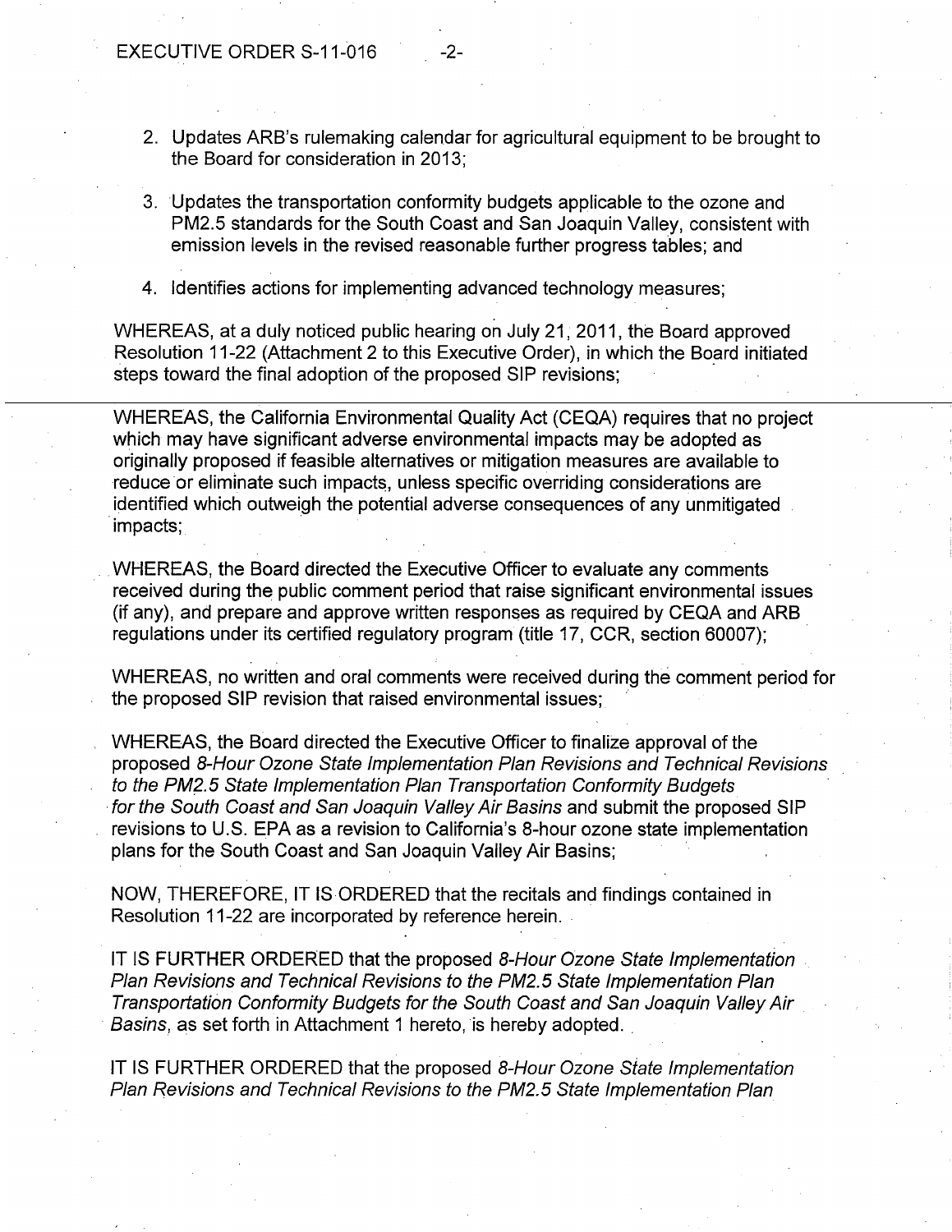- 2. Updates ARB's rulemaking calendar for agricultural equipment to be brought to 2. Updates ARB's rulemaking calendar for agricultural equipment to be brought to the Board for consideration in 2013; the Board for consideration in 2013;
- 3. Updates the transportation conformity budgets applicable to the ozone and 3. Updates the transportation conformity budgets applicable to the ozone and PM2.5 standards for the South Coast and San Joaquin Valley, consistent with PM2.5 standards for the South Coast and San Joaquin Valley, consistent with emission levels in the revised reasonable further progress tables; and emission levels in the revised reasonable further progress tables; and
- 4. Identifies actions for implementing advanced technology measures; 4. Identifies actions for implementing advanced technology measures;

WHEREAS, at a duly noticed public hearing on July 21, 2011, the Board approved WHEREAS, at a duly noticed public hearing on July 21, 2011, the Board approved Resolution 11-22 (Attachment 2 to this Executive Order), in which the Board initiated steps toward the final adoption of the proposed SIP revisions; steps toward the final adoption of the proposed SIP revisions;

WHEREAS, the California Environmental Quality Act (CEQA) requires that no project WHEREAS, the California Environmental Quality Act (CEQA) requires that no project which may have significant adverse environmental impacts may be adopted as which may have significant adverse environmental impacts may be adopted as originally proposed if feasible alternatives or mitigation measures are available to originally proposed if feasible alternatives or mitigation measures are available to reduce or eliminate such impacts, unless specific overriding considerations are identified which outweigh the potential adverse consequences of any unmitigated identified which outweigh the potential adverse consequences of any unmitigated ·impacts; · impacts;

WHEREAS, the Board directed the Executive Officer to evaluate any comments WHEREAS, the Board directed the Executive Officer to evaluate any comments received during the public comment period that raise significant environmental issues received during the public comment period that raise significant environmental issues (if any), and prepare and approve written responses as required by CEQA and ARB (if any), and prepare and approve written responses as required by CEQA and ARB regulations under its certified regulatory program (title 17, CCR, section 60007); regulations under its certified regulatory program (title 17, CCR, section 60007);

WHEREAS, no written and oral comments were received during the comment period for WHEREAS, no written and oral comments were received during the comment period for the proposed SIP revision that raised environmental issues;  $\hskip1cm \circ$ 

WHEREAS, the Board directed the Executive Officer to finalize approval of the WHEREAS, the Board directed the Executive Officer to finalize approval of the proposed 8-Hour Ozone State Implementation Plan Revisions and Technical Revisions proposed 8-Hour Ozone State Implementation Plan Revisions and Technical Revisions to the PM2.5 State Implementation Plan Transportation Conformity Budgets to the PM2.5 State Implementation Plan Transportation Conformity Budgets · for the South Coast and San Joaquin Valley Air Basins and submit the proposed SIP for the South Coast and San Joaquin Valley Air Basins and submit the proposed SIP revisions to U.S. EPA as a revision to California's 8-hour ozone state implementation revisions to U.S. EPA as a revision to California's 8-hour ozone state implementation plans for the South Coast and San Joaquin Valley Air Basins; plans for the South Coast and San Joaquin Valley Air Basins;

NOW, THEREFORE, IT IS ORDERED that the recitals and findings contained in NOW, THEREFORE, IT IS ORDERED that the recitals and findings contained in Resolution 11-22 are incorporated by reference herein. Resolution 11-22 are incorporated by reference herein.

IT IS FURTHER ORDERED that the proposed 8-Hour Ozone State Implementation IT IS FURTHER ORDERED that the proposed 8-Hour Ozone State Implementation Plan Revisions and Technical Revisions to the PM2.5 State Implementation Plan Plan Revisions and Technical Revisions to the PM2.5 State Implementation Plan Transportation Conformity Budgets for the South Coast and San Joaquin Valley Air Transportation Conformity Budgets for the South Coast and San Joaquin Valley Air Basins, as set forth in Attachment 1 hereto, is hereby adopted.  $\Box$ 

IT IS FURTHER ORDERED that the proposed 8-Hour Ozone State Implementation IT IS FURTHER ORDERED that the proposed 8-Hour Ozone State Implementation Plan Revisions and Technical Revisions to the PM2.5 State Implementation Plan Plan Revisions and Technical Revisions to the PM2.5 State Implementation Plan